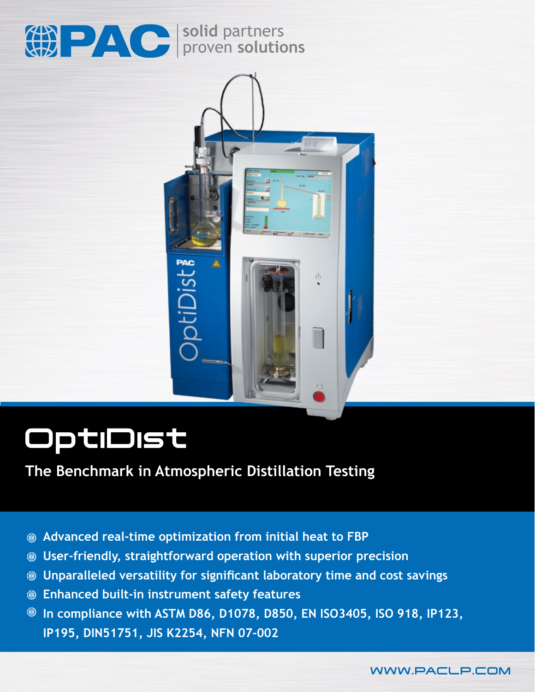

**solid** partners proven **solutions**



# OptiDist

### **The Benchmark in Atmospheric Distillation Testing**

- **Advanced real-time optimization from initial heat to FBP**
- **User-friendly, straightforward operation with superior precision**
- **Unparalleled versatility for significant laboratory time and cost savings**
- **Enhanced built-in instrument safety features**
- **In compliance with ASTM D86, D1078, D850, EN ISO3405, ISO 918, IP123, IP195, DIN51751, JIS K2254, NFN 07-002**

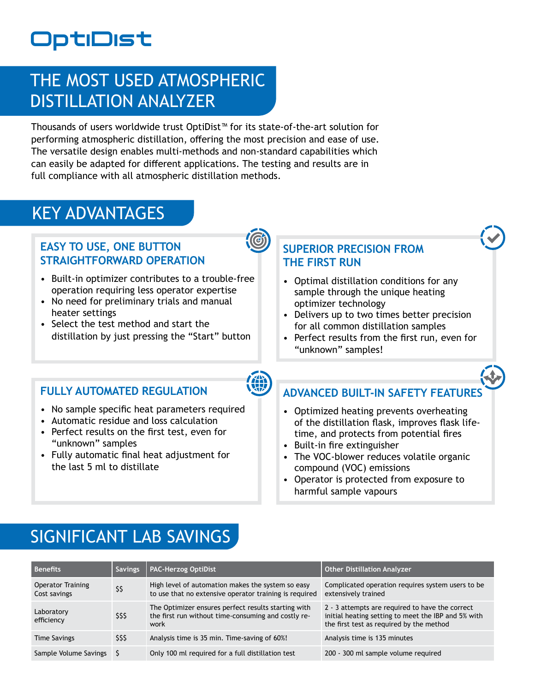## OptiDist

### THE MOST USED ATMOSPHERIC DISTILLATION ANALYZER

Thousands of users worldwide trust OptiDist™ for its state-of-the-art solution for performing atmospheric distillation, offering the most precision and ease of use. The versatile design enables multi-methods and non-standard capabilities which can easily be adapted for different applications. The testing and results are in full compliance with all atmospheric distillation methods.

### KEY ADVANTAGES

### **EASY TO USE, ONE BUTTON STRAIGHTFORWARD OPERATION**



- Built-in optimizer contributes to a trouble-free operation requiring less operator expertise
- No need for preliminary trials and manual heater settings
- Select the test method and start the distillation by just pressing the "Start" button

### **SUPERIOR PRECISION FROM THE FIRST RUN**

- Optimal distillation conditions for any sample through the unique heating optimizer technology
- Delivers up to two times better precision for all common distillation samples
- Perfect results from the first run, even for "unknown" samples!

### **FULLY AUTOMATED REGULATION**

- No sample specific heat parameters required
- Automatic residue and loss calculation
- Perfect results on the first test, even for "unknown" samples
- Fully automatic final heat adjustment for the last 5 ml to distillate

### **ADVANCED BUILT-IN SAFETY FEATURES**

- Optimized heating prevents overheating of the distillation flask, improves flask lifetime, and protects from potential fires
- Built-in fire extinguisher
- The VOC-blower reduces volatile organic compound (VOC) emissions
- Operator is protected from exposure to harmful sample vapours

### SIGNIFICANT LAB SAVINGS

| Benefits                                 | <b>Savings</b> | <b>PAC-Herzog OptiDist</b>                                                                                         | <b>Other Distillation Analyzer</b>                                                                                                                 |
|------------------------------------------|----------------|--------------------------------------------------------------------------------------------------------------------|----------------------------------------------------------------------------------------------------------------------------------------------------|
| <b>Operator Training</b><br>Cost savings | \$\$           | High level of automation makes the system so easy<br>to use that no extensive operator training is required        | Complicated operation requires system users to be<br>extensively trained                                                                           |
| Laboratory<br>efficiency                 | \$\$\$         | The Optimizer ensures perfect results starting with<br>the first run without time-consuming and costly re-<br>work | 2 - 3 attempts are required to have the correct<br>initial heating setting to meet the IBP and 5% with<br>the first test as required by the method |
| <b>Time Savings</b>                      | \$\$\$         | Analysis time is 35 min. Time-saving of 60%!                                                                       | Analysis time is 135 minutes                                                                                                                       |
| Sample Volume Savings \$                 |                | Only 100 ml required for a full distillation test                                                                  | 200 - 300 ml sample volume required                                                                                                                |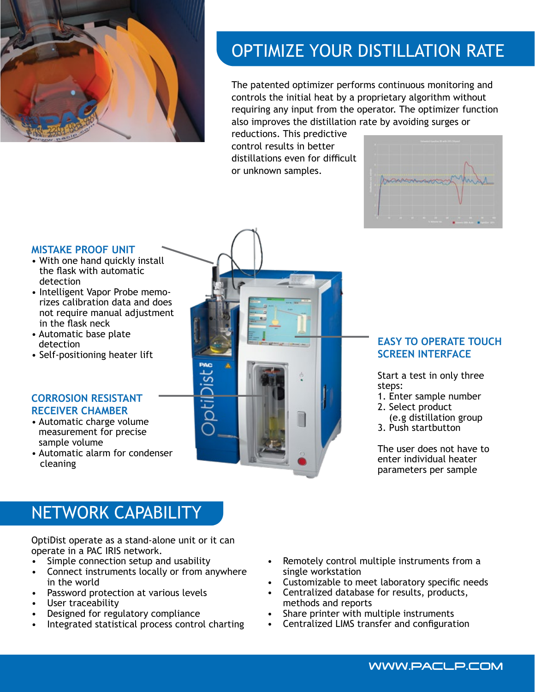

### OPTIMIZE YOUR DISTILLATION RATE

The patented optimizer performs continuous monitoring and controls the initial heat by a proprietary algorithm without requiring any input from the operator. The optimizer function also improves the distillation rate by avoiding surges or

reductions. This predictive control results in better distillations even for difficult or unknown samples.



#### **MISTAKE PROOF UNIT**

- With one hand quickly install the flask with automatic detection
- Intelligent Vapor Probe memorizes calibration data and does not require manual adjustment in the flask neck
- Automatic base plate detection
- Self-positioning heater lift

#### **CORROSION RESISTANT RECEIVER CHAMBER**

- Automatic charge volume measurement for precise sample volume
- Automatic alarm for condenser cleaning



#### **EASY TO OPERATE TOUCH SCREEN INTERFACE**

Start a test in only three steps:

- 1. Enter sample number
- 2. Select product
- (e.g distillation group
- 3. Push startbutton

The user does not have to enter individual heater parameters per sample

WWW.PACLP.COM

### NETWORK CAPABILITY

OptiDist operate as a stand-alone unit or it can operate in a PAC IRIS network.

- Simple connection setup and usability
- Connect instruments locally or from anywhere in the world
- Password protection at various levels
- User traceability
- Designed for regulatory compliance
- Integrated statistical process control charting
- Remotely control multiple instruments from a single workstation
- Customizable to meet laboratory specific needs
- Centralized database for results, products, methods and reports
- Share printer with multiple instruments
- Centralized LIMS transfer and configuration